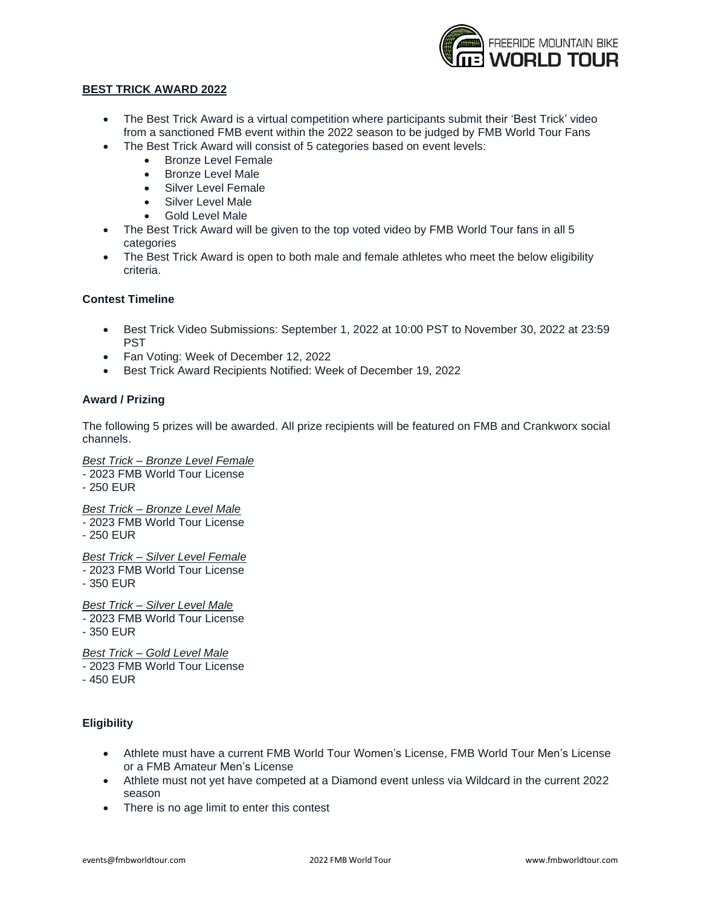

#### **BEST TRICK AWARD 2022**

- The Best Trick Award is a virtual competition where participants submit their 'Best Trick' video from a sanctioned FMB event within the 2022 season to be judged by FMB World Tour Fans
- The Best Trick Award will consist of 5 categories based on event levels:
	- Bronze Level Female
	- Bronze Level Male
	- Silver Level Female
	- Silver Level Male
	- Gold Level Male
- The Best Trick Award will be given to the top voted video by FMB World Tour fans in all 5 categories
- The Best Trick Award is open to both male and female athletes who meet the below eligibility criteria.

# **Contest Timeline**

- Best Trick Video Submissions: September 1, 2022 at 10:00 PST to November 30, 2022 at 23:59 PST
- Fan Voting: Week of December 12, 2022
- Best Trick Award Recipients Notified: Week of December 19, 2022

# **Award / Prizing**

The following 5 prizes will be awarded. All prize recipients will be featured on FMB and Crankworx social channels.

*Best Trick – Bronze Level Female -* 2023 FMB World Tour License - 250 EUR *Best Trick – Bronze Level Male -* 2023 FMB World Tour License - 250 EUR *Best Trick – Silver Level Female -* 2023 FMB World Tour License - 350 EUR *Best Trick – Silver Level Male -* 2023 FMB World Tour License - 350 EUR *Best Trick – Gold Level Male*

- *-* 2023 FMB World Tour License
- 450 EUR

# **Eligibility**

- Athlete must have a current FMB World Tour Women's License, FMB World Tour Men's License or a FMB Amateur Men's License
- Athlete must not yet have competed at a Diamond event unless via Wildcard in the current 2022 season
- There is no age limit to enter this contest